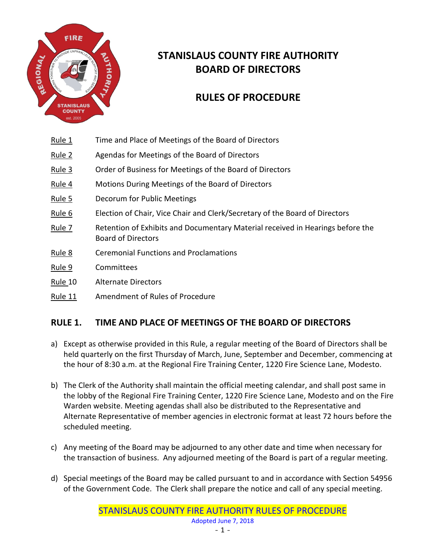

# **STANISLAUS COUNTY FIRE AUTHORITY BOARD OF DIRECTORS**

# **RULES OF PROCEDURE**

- Rule 1 Time and Place of Meetings of the Board of Directors
- Rule 2 Agendas for Meetings of the Board of Directors
- Rule 3 Order of Business for Meetings of the Board of Directors
- Rule 4 Motions During Meetings of the Board of Directors
- Rule 5 Decorum for Public Meetings
- Rule 6 Election of Chair, Vice Chair and Clerk/Secretary of the Board of Directors
- Rule 7 Retention of Exhibits and Documentary Material received in Hearings before the Board of Directors
- Rule 8 Ceremonial Functions and Proclamations
- Rule 9 Committees
- Rule 10 Alternate Directors
- Rule 11 Amendment of Rules of Procedure

#### **RULE 1. TIME AND PLACE OF MEETINGS OF THE BOARD OF DIRECTORS**

- a) Except as otherwise provided in this Rule, a regular meeting of the Board of Directors shall be held quarterly on the first Thursday of March, June, September and December, commencing at the hour of 8:30 a.m. at the Regional Fire Training Center, 1220 Fire Science Lane, Modesto.
- b) The Clerk of the Authority shall maintain the official meeting calendar, and shall post same in the lobby of the Regional Fire Training Center, 1220 Fire Science Lane, Modesto and on the Fire Warden website. Meeting agendas shall also be distributed to the Representative and Alternate Representative of member agencies in electronic format at least 72 hours before the scheduled meeting.
- c) Any meeting of the Board may be adjourned to any other date and time when necessary for the transaction of business. Any adjourned meeting of the Board is part of a regular meeting.
- d) Special meetings of the Board may be called pursuant to and in accordance with Section 54956 of the Government Code. The Clerk shall prepare the notice and call of any special meeting.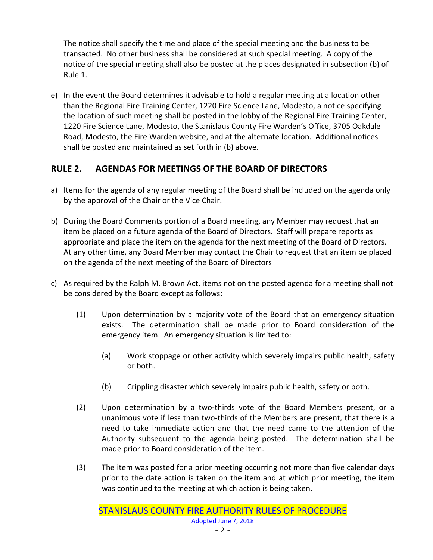The notice shall specify the time and place of the special meeting and the business to be transacted. No other business shall be considered at such special meeting. A copy of the notice of the special meeting shall also be posted at the places designated in subsection (b) of Rule 1.

e) In the event the Board determines it advisable to hold a regular meeting at a location other than the Regional Fire Training Center, 1220 Fire Science Lane, Modesto, a notice specifying the location of such meeting shall be posted in the lobby of the Regional Fire Training Center, 1220 Fire Science Lane, Modesto, the Stanislaus County Fire Warden's Office, 3705 Oakdale Road, Modesto, the Fire Warden website, and at the alternate location. Additional notices shall be posted and maintained as set forth in (b) above.

#### **RULE 2. AGENDAS FOR MEETINGS OF THE BOARD OF DIRECTORS**

- a) Items for the agenda of any regular meeting of the Board shall be included on the agenda only by the approval of the Chair or the Vice Chair.
- b) During the Board Comments portion of a Board meeting, any Member may request that an item be placed on a future agenda of the Board of Directors. Staff will prepare reports as appropriate and place the item on the agenda for the next meeting of the Board of Directors. At any other time, any Board Member may contact the Chair to request that an item be placed on the agenda of the next meeting of the Board of Directors
- c) As required by the Ralph M. Brown Act, items not on the posted agenda for a meeting shall not be considered by the Board except as follows:
	- (1) Upon determination by a majority vote of the Board that an emergency situation exists. The determination shall be made prior to Board consideration of the emergency item. An emergency situation is limited to:
		- (a) Work stoppage or other activity which severely impairs public health, safety or both.
		- (b) Crippling disaster which severely impairs public health, safety or both.
	- (2) Upon determination by a two-thirds vote of the Board Members present, or a unanimous vote if less than two-thirds of the Members are present, that there is a need to take immediate action and that the need came to the attention of the Authority subsequent to the agenda being posted. The determination shall be made prior to Board consideration of the item.
	- (3) The item was posted for a prior meeting occurring not more than five calendar days prior to the date action is taken on the item and at which prior meeting, the item was continued to the meeting at which action is being taken.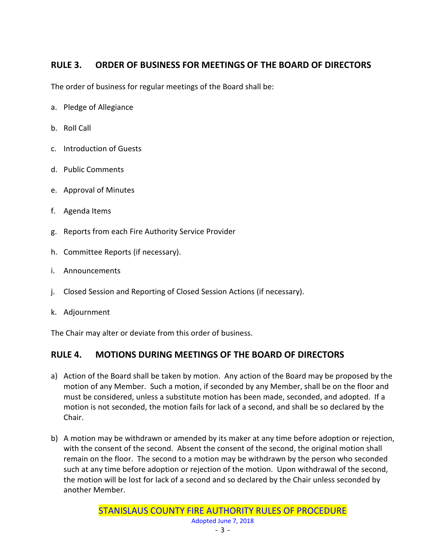# **RULE 3. ORDER OF BUSINESS FOR MEETINGS OF THE BOARD OF DIRECTORS**

The order of business for regular meetings of the Board shall be:

- a. Pledge of Allegiance
- b. Roll Call
- c. Introduction of Guests
- d. Public Comments
- e. Approval of Minutes
- f. Agenda Items
- g. Reports from each Fire Authority Service Provider
- h. Committee Reports (if necessary).
- i. Announcements
- j. Closed Session and Reporting of Closed Session Actions (if necessary).
- k. Adjournment

The Chair may alter or deviate from this order of business.

# **RULE 4. MOTIONS DURING MEETINGS OF THE BOARD OF DIRECTORS**

- a) Action of the Board shall be taken by motion. Any action of the Board may be proposed by the motion of any Member. Such a motion, if seconded by any Member, shall be on the floor and must be considered, unless a substitute motion has been made, seconded, and adopted. If a motion is not seconded, the motion fails for lack of a second, and shall be so declared by the Chair.
- b) A motion may be withdrawn or amended by its maker at any time before adoption or rejection, with the consent of the second. Absent the consent of the second, the original motion shall remain on the floor. The second to a motion may be withdrawn by the person who seconded such at any time before adoption or rejection of the motion. Upon withdrawal of the second, the motion will be lost for lack of a second and so declared by the Chair unless seconded by another Member.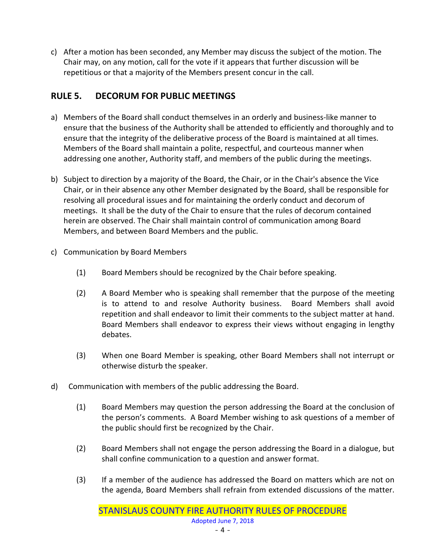c) After a motion has been seconded, any Member may discuss the subject of the motion. The Chair may, on any motion, call for the vote if it appears that further discussion will be repetitious or that a majority of the Members present concur in the call.

# **RULE 5. DECORUM FOR PUBLIC MEETINGS**

- a) Members of the Board shall conduct themselves in an orderly and business-like manner to ensure that the business of the Authority shall be attended to efficiently and thoroughly and to ensure that the integrity of the deliberative process of the Board is maintained at all times. Members of the Board shall maintain a polite, respectful, and courteous manner when addressing one another, Authority staff, and members of the public during the meetings.
- b) Subject to direction by a majority of the Board, the Chair, or in the Chair's absence the Vice Chair, or in their absence any other Member designated by the Board, shall be responsible for resolving all procedural issues and for maintaining the orderly conduct and decorum of meetings. It shall be the duty of the Chair to ensure that the rules of decorum contained herein are observed. The Chair shall maintain control of communication among Board Members, and between Board Members and the public.
- c) Communication by Board Members
	- (1) Board Members should be recognized by the Chair before speaking.
	- (2) A Board Member who is speaking shall remember that the purpose of the meeting is to attend to and resolve Authority business. Board Members shall avoid repetition and shall endeavor to limit their comments to the subject matter at hand. Board Members shall endeavor to express their views without engaging in lengthy debates.
	- (3) When one Board Member is speaking, other Board Members shall not interrupt or otherwise disturb the speaker.
- d) Communication with members of the public addressing the Board.
	- (1) Board Members may question the person addressing the Board at the conclusion of the person's comments. A Board Member wishing to ask questions of a member of the public should first be recognized by the Chair.
	- (2) Board Members shall not engage the person addressing the Board in a dialogue, but shall confine communication to a question and answer format.
	- (3) If a member of the audience has addressed the Board on matters which are not on the agenda, Board Members shall refrain from extended discussions of the matter.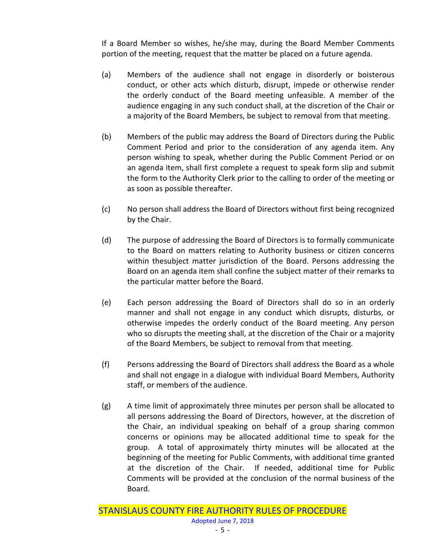If a Board Member so wishes, he/she may, during the Board Member Comments portion of the meeting, request that the matter be placed on a future agenda.

- (a) Members of the audience shall not engage in disorderly or boisterous conduct, or other acts which disturb, disrupt, impede or otherwise render the orderly conduct of the Board meeting unfeasible. A member of the audience engaging in any such conduct shall, at the discretion of the Chair or a majority of the Board Members, be subject to removal from that meeting.
- (b) Members of the public may address the Board of Directors during the Public Comment Period and prior to the consideration of any agenda item. Any person wishing to speak, whether during the Public Comment Period or on an agenda item, shall first complete a request to speak form slip and submit the form to the Authority Clerk prior to the calling to order of the meeting or as soon as possible thereafter.
- (c) No person shall address the Board of Directors without first being recognized by the Chair.
- (d) The purpose of addressing the Board of Directors is to formally communicate to the Board on matters relating to Authority business or citizen concerns within thesubject matter jurisdiction of the Board. Persons addressing the Board on an agenda item shall confine the subject matter of their remarks to the particular matter before the Board.
- (e) Each person addressing the Board of Directors shall do so in an orderly manner and shall not engage in any conduct which disrupts, disturbs, or otherwise impedes the orderly conduct of the Board meeting. Any person who so disrupts the meeting shall, at the discretion of the Chair or a majority of the Board Members, be subject to removal from that meeting.
- (f) Persons addressing the Board of Directors shall address the Board as a whole and shall not engage in a dialogue with individual Board Members, Authority staff, or members of the audience.
- (g) A time limit of approximately three minutes per person shall be allocated to all persons addressing the Board of Directors, however, at the discretion of the Chair, an individual speaking on behalf of a group sharing common concerns or opinions may be allocated additional time to speak for the group. A total of approximately thirty minutes will be allocated at the beginning of the meeting for Public Comments, with additional time granted at the discretion of the Chair. If needed, additional time for Public Comments will be provided at the conclusion of the normal business of the Board.

STANISLAUS COUNTY FIRE AUTHORITY RULES OF PROCEDURE Adopted June 7, 2018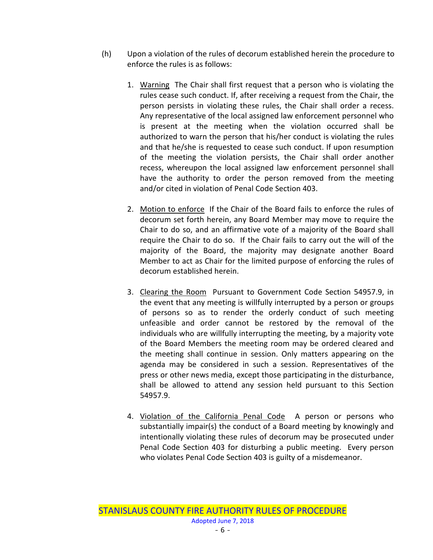- (h) Upon a violation of the rules of decorum established herein the procedure to enforce the rules is as follows:
	- 1. Warning The Chair shall first request that a person who is violating the rules cease such conduct. If, after receiving a request from the Chair, the person persists in violating these rules, the Chair shall order a recess. Any representative of the local assigned law enforcement personnel who is present at the meeting when the violation occurred shall be authorized to warn the person that his/her conduct is violating the rules and that he/she is requested to cease such conduct. If upon resumption of the meeting the violation persists, the Chair shall order another recess, whereupon the local assigned law enforcement personnel shall have the authority to order the person removed from the meeting and/or cited in violation of Penal Code Section 403.
	- 2. Motion to enforce If the Chair of the Board fails to enforce the rules of decorum set forth herein, any Board Member may move to require the Chair to do so, and an affirmative vote of a majority of the Board shall require the Chair to do so. If the Chair fails to carry out the will of the majority of the Board, the majority may designate another Board Member to act as Chair for the limited purpose of enforcing the rules of decorum established herein.
	- 3. Clearing the Room Pursuant to Government Code Section 54957.9, in the event that any meeting is willfully interrupted by a person or groups of persons so as to render the orderly conduct of such meeting unfeasible and order cannot be restored by the removal of the individuals who are willfully interrupting the meeting, by a majority vote of the Board Members the meeting room may be ordered cleared and the meeting shall continue in session. Only matters appearing on the agenda may be considered in such a session. Representatives of the press or other news media, except those participating in the disturbance, shall be allowed to attend any session held pursuant to this Section 54957.9.
	- 4. Violation of the California Penal Code A person or persons who substantially impair(s) the conduct of a Board meeting by knowingly and intentionally violating these rules of decorum may be prosecuted under Penal Code Section 403 for disturbing a public meeting. Every person who violates Penal Code Section 403 is guilty of a misdemeanor.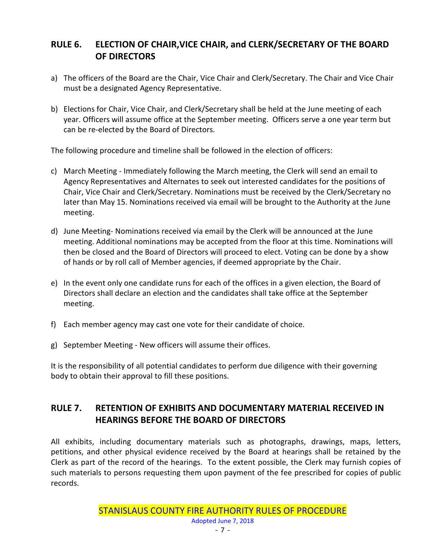#### **RULE 6. ELECTION OF CHAIR,VICE CHAIR, and CLERK/SECRETARY OF THE BOARD OF DIRECTORS**

- a) The officers of the Board are the Chair, Vice Chair and Clerk/Secretary. The Chair and Vice Chair must be a designated Agency Representative.
- b) Elections for Chair, Vice Chair, and Clerk/Secretary shall be held at the June meeting of each year. Officers will assume office at the September meeting. Officers serve a one year term but can be re-elected by the Board of Directors.

The following procedure and timeline shall be followed in the election of officers:

- c) March Meeting Immediately following the March meeting, the Clerk will send an email to Agency Representatives and Alternates to seek out interested candidates for the positions of Chair, Vice Chair and Clerk/Secretary. Nominations must be received by the Clerk/Secretary no later than May 15. Nominations received via email will be brought to the Authority at the June meeting.
- d) June Meeting- Nominations received via email by the Clerk will be announced at the June meeting. Additional nominations may be accepted from the floor at this time. Nominations will then be closed and the Board of Directors will proceed to elect. Voting can be done by a show of hands or by roll call of Member agencies, if deemed appropriate by the Chair.
- e) In the event only one candidate runs for each of the offices in a given election, the Board of Directors shall declare an election and the candidates shall take office at the September meeting.
- f) Each member agency may cast one vote for their candidate of choice.
- g) September Meeting New officers will assume their offices.

It is the responsibility of all potential candidates to perform due diligence with their governing body to obtain their approval to fill these positions.

#### **RULE 7. RETENTION OF EXHIBITS AND DOCUMENTARY MATERIAL RECEIVED IN HEARINGS BEFORE THE BOARD OF DIRECTORS**

All exhibits, including documentary materials such as photographs, drawings, maps, letters, petitions, and other physical evidence received by the Board at hearings shall be retained by the Clerk as part of the record of the hearings. To the extent possible, the Clerk may furnish copies of such materials to persons requesting them upon payment of the fee prescribed for copies of public records.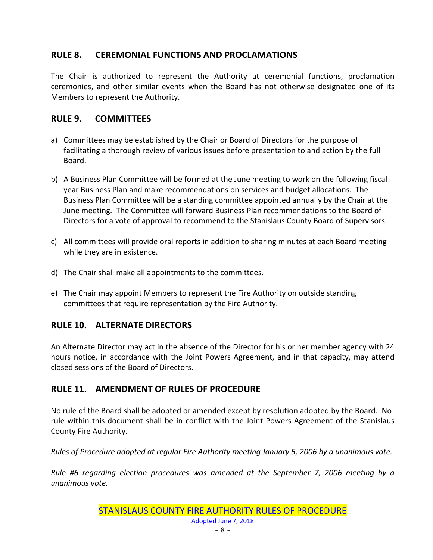#### **RULE 8. CEREMONIAL FUNCTIONS AND PROCLAMATIONS**

The Chair is authorized to represent the Authority at ceremonial functions, proclamation ceremonies, and other similar events when the Board has not otherwise designated one of its Members to represent the Authority.

#### **RULE 9. COMMITTEES**

- a) Committees may be established by the Chair or Board of Directors for the purpose of facilitating a thorough review of various issues before presentation to and action by the full Board.
- b) A Business Plan Committee will be formed at the June meeting to work on the following fiscal year Business Plan and make recommendations on services and budget allocations. The Business Plan Committee will be a standing committee appointed annually by the Chair at the June meeting. The Committee will forward Business Plan recommendations to the Board of Directors for a vote of approval to recommend to the Stanislaus County Board of Supervisors.
- c) All committees will provide oral reports in addition to sharing minutes at each Board meeting while they are in existence.
- d) The Chair shall make all appointments to the committees.
- e) The Chair may appoint Members to represent the Fire Authority on outside standing committees that require representation by the Fire Authority.

#### **RULE 10. ALTERNATE DIRECTORS**

An Alternate Director may act in the absence of the Director for his or her member agency with 24 hours notice, in accordance with the Joint Powers Agreement, and in that capacity, may attend closed sessions of the Board of Directors.

# **RULE 11. AMENDMENT OF RULES OF PROCEDURE**

No rule of the Board shall be adopted or amended except by resolution adopted by the Board. No rule within this document shall be in conflict with the Joint Powers Agreement of the Stanislaus County Fire Authority.

*Rules of Procedure adopted at regular Fire Authority meeting January 5, 2006 by a unanimous vote.*

*Rule #6 regarding election procedures was amended at the September 7, 2006 meeting by a unanimous vote.*